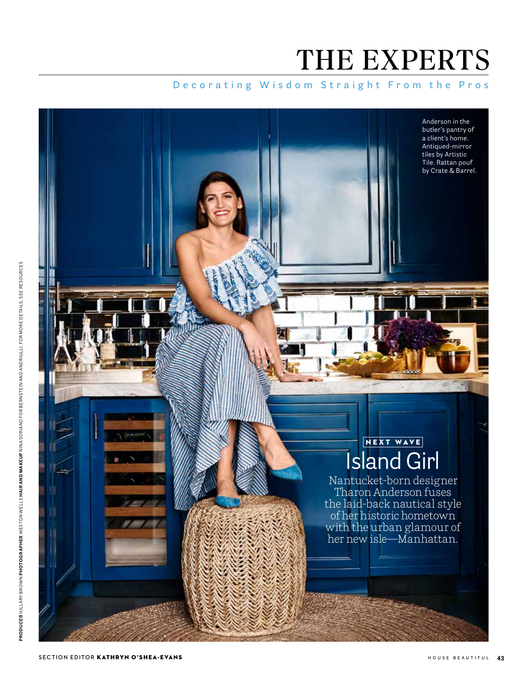# THE EXPERTS

## **Decorating Wisdom Straight From the Pros**